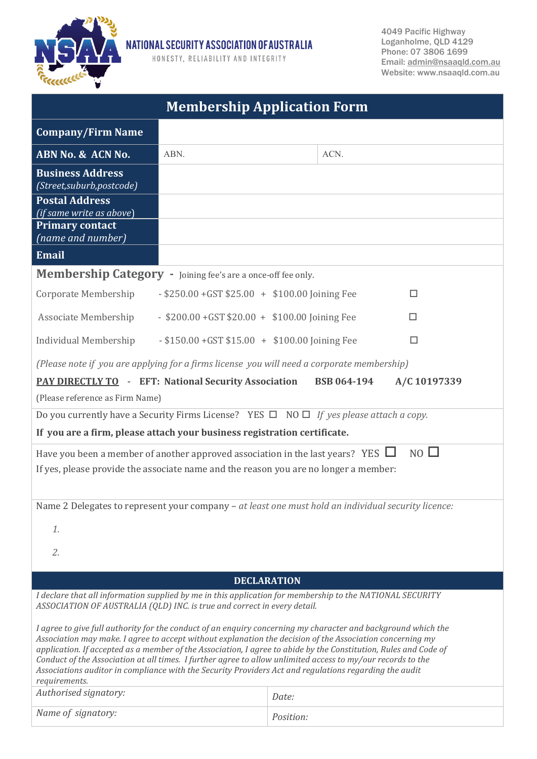

NATIONAL SECURITY ASSOCIATION OF AUSTRALIA

HONESTY, RELIABILITY AND INTEGRITY

4049 Pacific Highway Loganholme, QLD 4129 Phone: 07 3806 1699 Email: [admin@nsaaqld.com.au](mailto:admin@nsaaqld.com.au) Website: www.nsaaqld.com.au

| <b>Membership Application Form</b>                                                                                                                                                                                                                                                                                                                                                                                                                                                                                                                                                       |                                                        |           |      |
|------------------------------------------------------------------------------------------------------------------------------------------------------------------------------------------------------------------------------------------------------------------------------------------------------------------------------------------------------------------------------------------------------------------------------------------------------------------------------------------------------------------------------------------------------------------------------------------|--------------------------------------------------------|-----------|------|
| <b>Company/Firm Name</b>                                                                                                                                                                                                                                                                                                                                                                                                                                                                                                                                                                 |                                                        |           |      |
| ABN No. & ACN No.                                                                                                                                                                                                                                                                                                                                                                                                                                                                                                                                                                        | ABN.                                                   |           | ACN. |
| <b>Business Address</b><br>(Street, suburb, postcode)                                                                                                                                                                                                                                                                                                                                                                                                                                                                                                                                    |                                                        |           |      |
| <b>Postal Address</b><br>(if same write as above)                                                                                                                                                                                                                                                                                                                                                                                                                                                                                                                                        |                                                        |           |      |
| <b>Primary contact</b><br>(name and number)                                                                                                                                                                                                                                                                                                                                                                                                                                                                                                                                              |                                                        |           |      |
| <b>Email</b>                                                                                                                                                                                                                                                                                                                                                                                                                                                                                                                                                                             |                                                        |           |      |
| Membership Category - Joining fee's are a once-off fee only.                                                                                                                                                                                                                                                                                                                                                                                                                                                                                                                             |                                                        |           |      |
| $-$ \$250.00 + GST \$25.00 + \$100.00 Joining Fee<br>Corporate Membership<br>п                                                                                                                                                                                                                                                                                                                                                                                                                                                                                                           |                                                        |           |      |
| Associate Membership                                                                                                                                                                                                                                                                                                                                                                                                                                                                                                                                                                     | $-$ \$200.00 + GST \$20.00 + \$100.00 Joining Fee<br>п |           |      |
| $-$ \$150.00 + GST \$15.00 + \$100.00 Joining Fee<br>Individual Membership<br>□                                                                                                                                                                                                                                                                                                                                                                                                                                                                                                          |                                                        |           |      |
| (Please note if you are applying for a firms license you will need a corporate membership)                                                                                                                                                                                                                                                                                                                                                                                                                                                                                               |                                                        |           |      |
| <b>PAY DIRECTLY TO - EFT: National Security Association</b><br><b>BSB 064-194</b><br>A/C 10197339                                                                                                                                                                                                                                                                                                                                                                                                                                                                                        |                                                        |           |      |
| (Please reference as Firm Name)                                                                                                                                                                                                                                                                                                                                                                                                                                                                                                                                                          |                                                        |           |      |
| Do you currently have a Security Firms License? YES $\Box$ NO $\Box$ If yes please attach a copy.                                                                                                                                                                                                                                                                                                                                                                                                                                                                                        |                                                        |           |      |
| If you are a firm, please attach your business registration certificate.                                                                                                                                                                                                                                                                                                                                                                                                                                                                                                                 |                                                        |           |      |
| $NO$ $\Box$<br>Have you been a member of another approved association in the last years? YES $\Box$<br>If yes, please provide the associate name and the reason you are no longer a member:                                                                                                                                                                                                                                                                                                                                                                                              |                                                        |           |      |
| Name 2 Delegates to represent your company - at least one must hold an individual security licence:                                                                                                                                                                                                                                                                                                                                                                                                                                                                                      |                                                        |           |      |
| 1.                                                                                                                                                                                                                                                                                                                                                                                                                                                                                                                                                                                       |                                                        |           |      |
| 2.                                                                                                                                                                                                                                                                                                                                                                                                                                                                                                                                                                                       |                                                        |           |      |
| <b>DECLARATION</b>                                                                                                                                                                                                                                                                                                                                                                                                                                                                                                                                                                       |                                                        |           |      |
| I declare that all information supplied by me in this application for membership to the NATIONAL SECURITY<br>ASSOCIATION OF AUSTRALIA (QLD) INC. is true and correct in every detail.                                                                                                                                                                                                                                                                                                                                                                                                    |                                                        |           |      |
| I agree to give full authority for the conduct of an enquiry concerning my character and background which the<br>Association may make. I agree to accept without explanation the decision of the Association concerning my<br>application. If accepted as a member of the Association, I agree to abide by the Constitution, Rules and Code of<br>Conduct of the Association at all times. I further agree to allow unlimited access to my/our records to the<br>Associations auditor in compliance with the Security Providers Act and regulations regarding the audit<br>requirements. |                                                        |           |      |
| Authorised signatory:                                                                                                                                                                                                                                                                                                                                                                                                                                                                                                                                                                    |                                                        | Date:     |      |
| Name of signatory:                                                                                                                                                                                                                                                                                                                                                                                                                                                                                                                                                                       |                                                        | Position: |      |